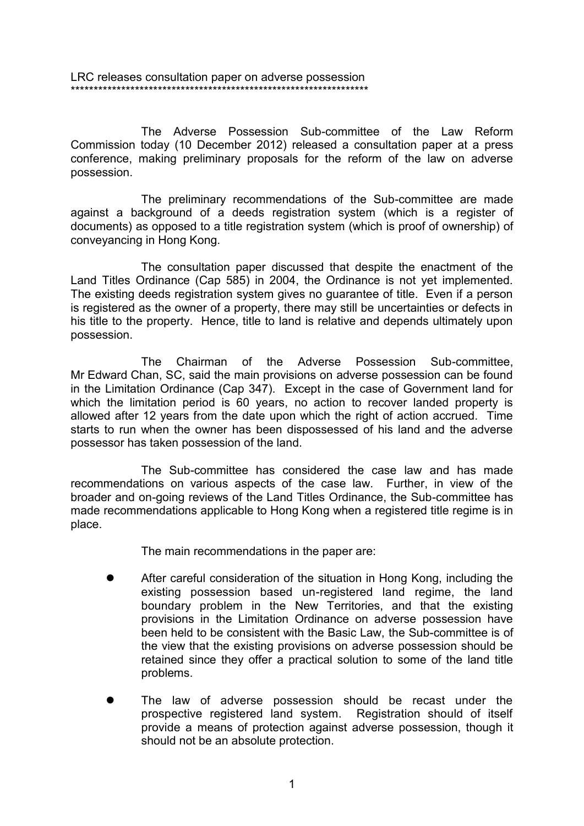LRC releases consultation paper on adverse possession \*\*\*\*\*\*\*\*\*\*\*\*\*\*\*\*\*\*\*\*\*\*\*\*\*\*\*\*\*\*\*\*\*\*\*\*\*\*\*\*\*\*\*\*\*\*\*\*\*\*\*\*\*\*\*\*\*\*\*\*\*\*\*\*\*

The Adverse Possession Sub-committee of the Law Reform Commission today (10 December 2012) released a consultation paper at a press conference, making preliminary proposals for the reform of the law on adverse possession.

The preliminary recommendations of the Sub-committee are made against a background of a deeds registration system (which is a register of documents) as opposed to a title registration system (which is proof of ownership) of conveyancing in Hong Kong.

The consultation paper discussed that despite the enactment of the Land Titles Ordinance (Cap 585) in 2004, the Ordinance is not yet implemented. The existing deeds registration system gives no guarantee of title. Even if a person is registered as the owner of a property, there may still be uncertainties or defects in his title to the property. Hence, title to land is relative and depends ultimately upon possession.

The Chairman of the Adverse Possession Sub-committee, Mr Edward Chan, SC, said the main provisions on adverse possession can be found in the Limitation Ordinance (Cap 347). Except in the case of Government land for which the limitation period is 60 years, no action to recover landed property is allowed after 12 years from the date upon which the right of action accrued. Time starts to run when the owner has been dispossessed of his land and the adverse possessor has taken possession of the land.

The Sub-committee has considered the case law and has made recommendations on various aspects of the case law. Further, in view of the broader and on-going reviews of the Land Titles Ordinance, the Sub-committee has made recommendations applicable to Hong Kong when a registered title regime is in place.

The main recommendations in the paper are:

- After careful consideration of the situation in Hong Kong, including the existing possession based un-registered land regime, the land boundary problem in the New Territories, and that the existing provisions in the Limitation Ordinance on adverse possession have been held to be consistent with the Basic Law, the Sub-committee is of the view that the existing provisions on adverse possession should be retained since they offer a practical solution to some of the land title problems.
- The law of adverse possession should be recast under the prospective registered land system. Registration should of itself provide a means of protection against adverse possession, though it should not be an absolute protection.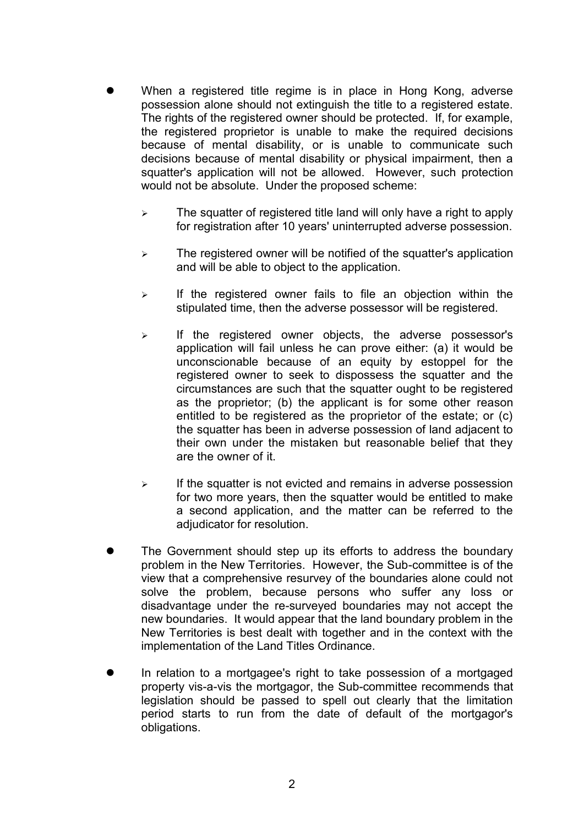- When a registered title regime is in place in Hong Kong, adverse possession alone should not extinguish the title to a registered estate. The rights of the registered owner should be protected. If, for example, the registered proprietor is unable to make the required decisions because of mental disability, or is unable to communicate such decisions because of mental disability or physical impairment, then a squatter's application will not be allowed. However, such protection would not be absolute. Under the proposed scheme:
	- $\triangleright$  The squatter of registered title land will only have a right to apply for registration after 10 years' uninterrupted adverse possession.
	- $\geq$  The registered owner will be notified of the squatter's application and will be able to object to the application.
	- $\triangleright$  If the registered owner fails to file an objection within the stipulated time, then the adverse possessor will be registered.
	- $\triangleright$  If the registered owner objects, the adverse possessor's application will fail unless he can prove either: (a) it would be unconscionable because of an equity by estoppel for the registered owner to seek to dispossess the squatter and the circumstances are such that the squatter ought to be registered as the proprietor; (b) the applicant is for some other reason entitled to be registered as the proprietor of the estate; or (c) the squatter has been in adverse possession of land adjacent to their own under the mistaken but reasonable belief that they are the owner of it.
	- $\triangleright$  If the squatter is not evicted and remains in adverse possession for two more years, then the squatter would be entitled to make a second application, and the matter can be referred to the adjudicator for resolution.
- The Government should step up its efforts to address the boundary problem in the New Territories. However, the Sub-committee is of the view that a comprehensive resurvey of the boundaries alone could not solve the problem, because persons who suffer any loss or disadvantage under the re-surveyed boundaries may not accept the new boundaries. It would appear that the land boundary problem in the New Territories is best dealt with together and in the context with the implementation of the Land Titles Ordinance.
- In relation to a mortgagee's right to take possession of a mortgaged property vis-a-vis the mortgagor, the Sub-committee recommends that legislation should be passed to spell out clearly that the limitation period starts to run from the date of default of the mortgagor's obligations.